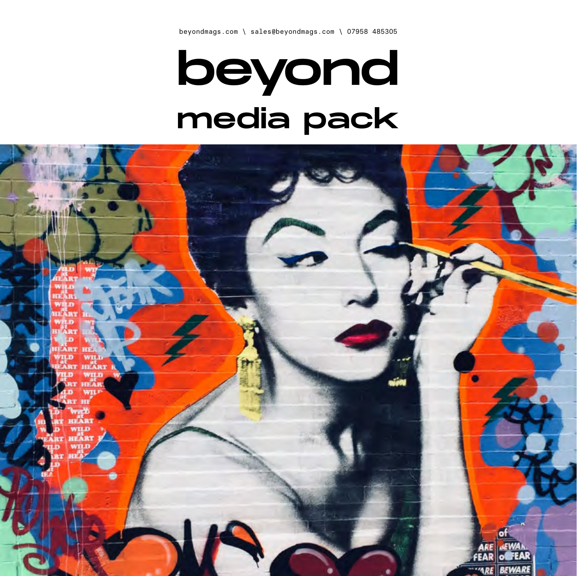# beyond media pack

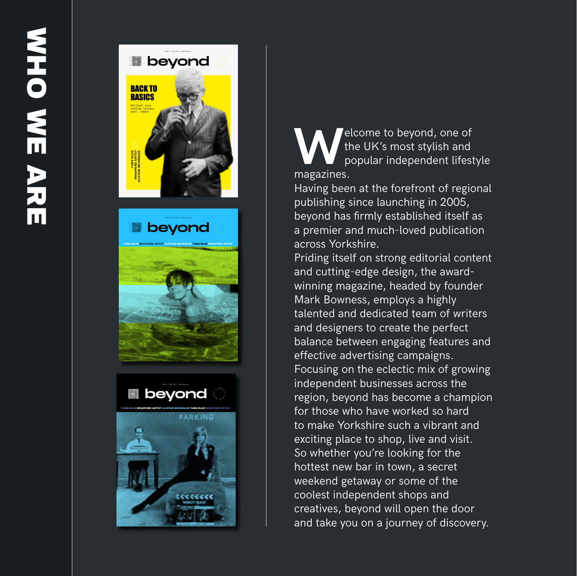

**WAREDE SERVIS CONTROVER SERVIS AND THE UK's most stylish and popular independent lifestyle** the UK's most stylish and magazines.

Having been at the forefront of regional publishing since launching in 2005, beyond has firmly established itself as a premier and much-loved publication across Yorkshire.

Priding itself on strong editorial content and cutting-edge design, the awardwinning magazine, headed by founder Mark Bowness, employs a highly talented and dedicated team of writers and designers to create the perfect balance between engaging features and effective advertising campaigns. Focusing on the eclectic mix of growing independent businesses across the region, beyond has become a champion for those who have worked so hard to make Yorkshire such a vibrant and exciting place to shop, live and visit. So whether you're looking for the hottest new bar in town, a secret weekend getaway or some of the coolest independent shops and creatives, beyond will open the door and take you on a journey of discovery.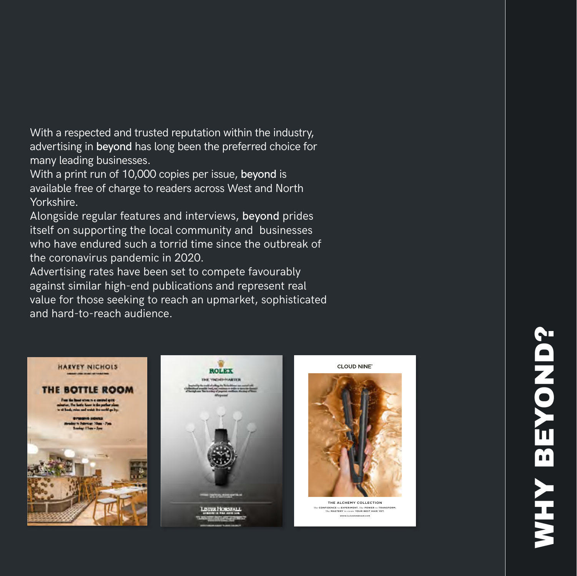With a respected and trusted reputation within the industry, advertising in beyond has long been the preferred choice for many leading businesses.

With a print run of 10,000 copies per issue, beyond is available free of charge to readers across West and North Yorkshire.

Alongside regular features and interviews, beyond prides itself on supporting the local community and businesses who have endured such a torrid time since the outbreak of the coronavirus pandemic in 2020.

Advertising rates have been set to compete favourably against similar high-end publications and represent real value for those seeking to reach an upmarket, sophisticated and hard-to-reach audience.





CLOUD NINE'



The CONFIDENCE to EXPERIMENT. The POWER to TRANSFORM. The MASTERY to create YOUR BEST HAIR YET. THE ALCHEMY COLLECTION WWW.COM AND COMPANY OF THE COMPANY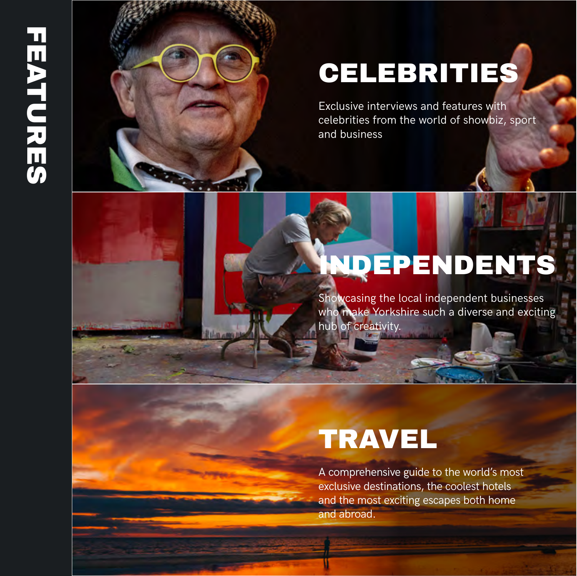# **FEATURES HEATURES**



## CELEBRITIES

Exclusive interviews and features with celebrities from the world of showbiz, sport and business

#### **IDEPENDENTS**

Showcasing the local independent businesses who make Yorkshire such a diverse and exciting hub of creativity.

#### **TRAVEL**

A comprehensive guide to the world's most exclusive destinations, the coolest hotels and the most exciting escapes both home and abroad.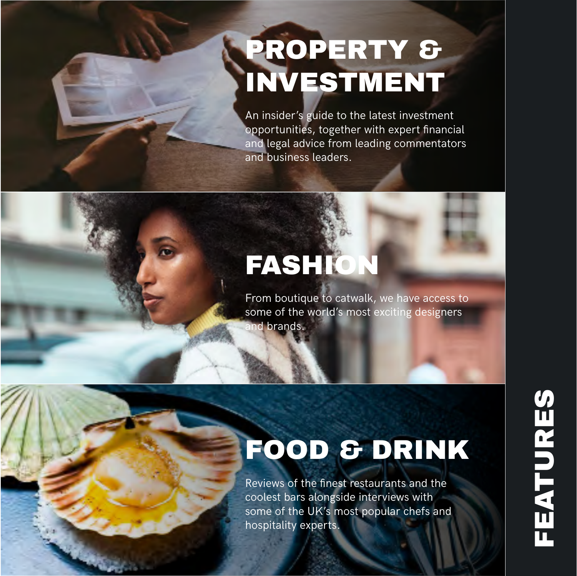## PROPERTY & INVESTMENT

An insider's guide to the latest investment opportunities, together with expert financial and legal advice from leading commentators and business leaders.

## FASHION

From boutique to catwalk, we have access to some of the world's most exciting designers and brands.

## FOOD & DRINK

Reviews of the finest restaurants and the coolest bars alongside interviews with some of the UK's most popular chefs and hospitality experts.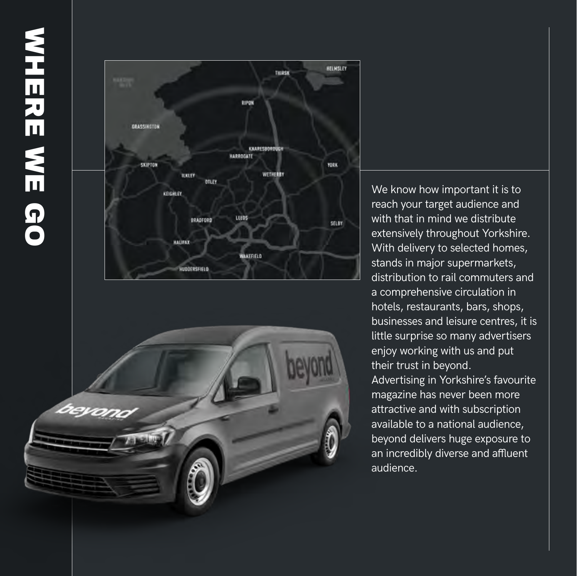



We know how important it is to reach your target audience and with that in mind we distribute extensively throughout Yorkshire. With delivery to selected homes, stands in major supermarkets, distribution to rail commuters and a comprehensive circulation in hotels, restaurants, bars, shops, businesses and leisure centres, it is little surprise so many advertisers enjoy working with us and put their trust in beyond. Advertising in Yorkshire's favourite magazine has never been more attractive and with subscription available to a national audience, beyond delivers huge exposure to an incredibly diverse and affluent audience.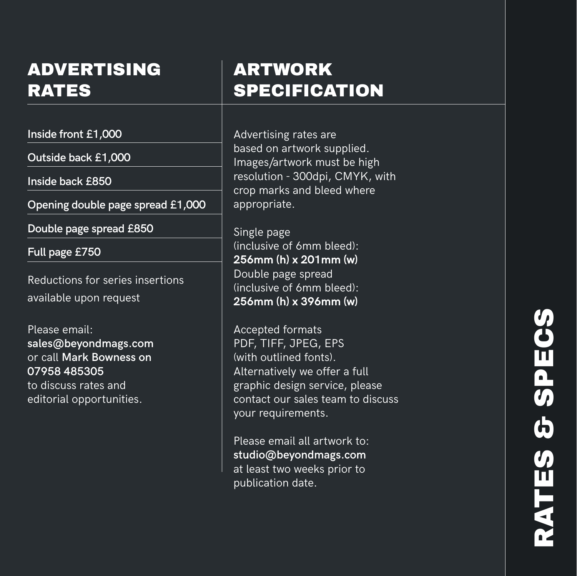#### ADVERTISING RATES

**Inside front £1,000**

**Outside back £1,000**

**Inside back £850**

**Opening double page spread £1,000**

**Double page spread £850**

**Full page £750**

Reductions for series insertions available upon request

Please email: **sales@beyondmags.com**  or call **Mark Bowness on 07958 485305** to discuss rates and editorial opportunities.

#### ARTWORK **SPECIFICATION**

Advertising rates are based on artwork supplied. Images/artwork must be high resolution - 300dpi, CMYK, with crop marks and bleed where appropriate.

Single page (inclusive of 6mm bleed): **256mm (h) x 201mm (w)**  Double page spread (inclusive of 6mm bleed): **256mm (h) x 396mm (w)** 

Accepted formats PDF, TIFF, JPEG, EPS (with outlined fonts). Alternatively we offer a full graphic design service, please contact our sales team to discuss your requirements.

Please email all artwork to: **studio@beyondmags.com** at least two weeks prior to publication date.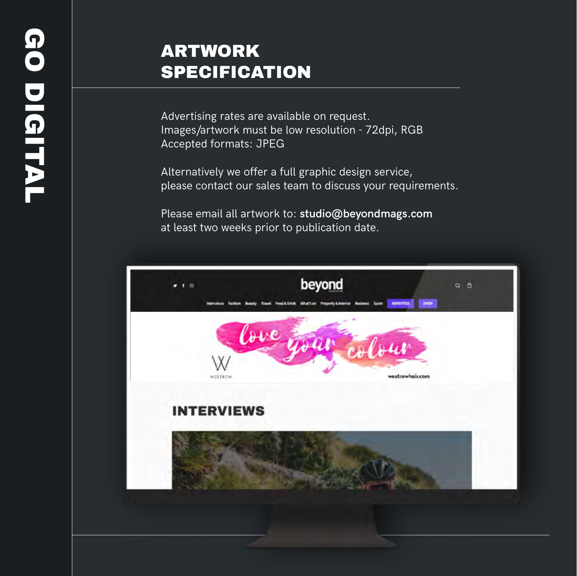#### ARTWORK **SPECIFICATION**

Advertising rates are available on request. Images/artwork must be low resolution - 72dpi, RGB Accepted formats: JPEG

Alternatively we offer a full graphic design service, please contact our sales team to discuss your requirements.

Please email all artwork to: **studio@beyondmags.com** at least two weeks prior to publication date.

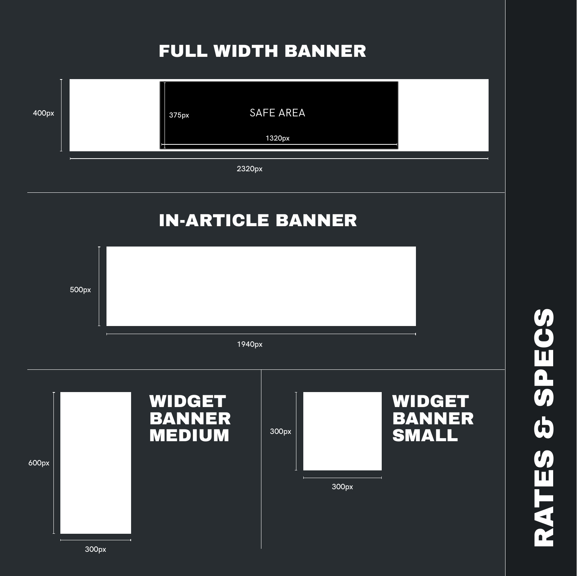#### FULL WIDTH BANNER